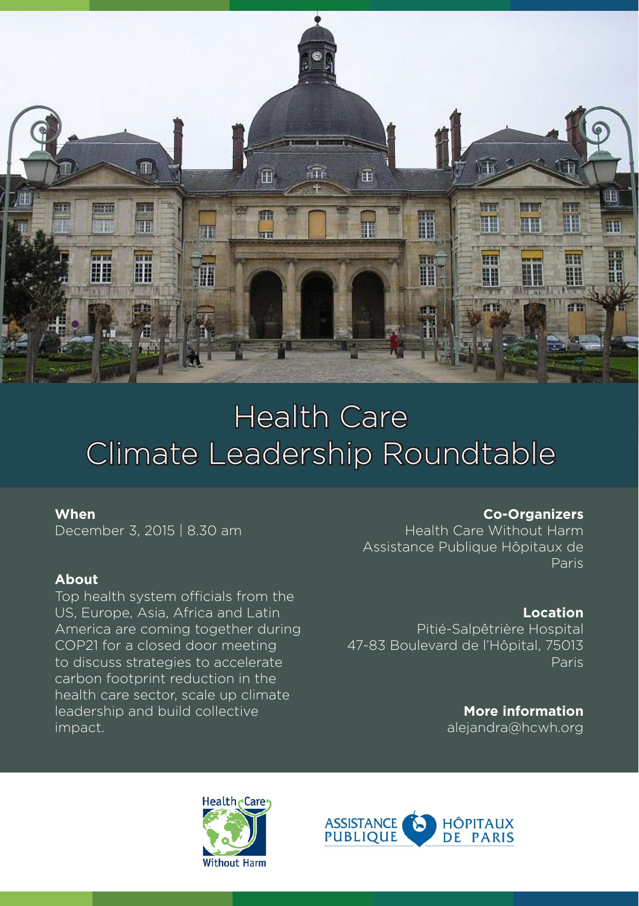

# Health Care Climate Leadership Roundtable

### **When**

December 3, 2015 | 8.30 am

### **About**

Top health system officials from the US, Europe, Asia, Africa and Latin America are coming together during COP21 for a closed door meeting to discuss strategies to accelerate carbon footprint reduction in the health care sector, scale up climate leadership and build collective impact.

#### **Co-Organizers**

Health Care Without Harm Assistance Publique Hôpitaux de Paris

## **Location**

Pitié-Salpêtrière Hospital 47-83 Boulevard de l'Hôpital, 75013 Paris

> **More information** alejandra@hcwh.org